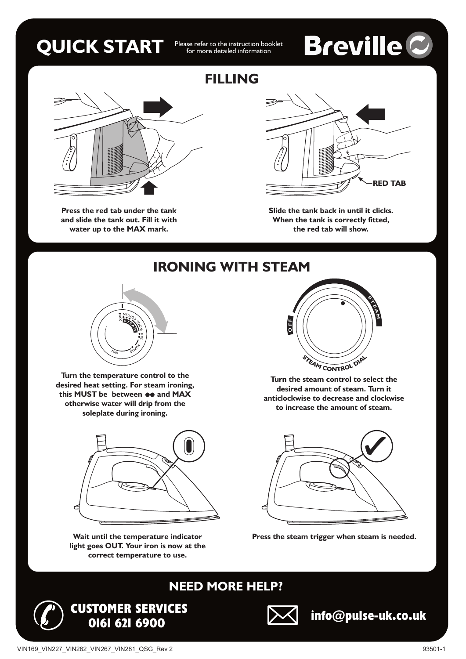### **QUICK START**

Please refer to the instruction booklet<br>for more detailed information

# **Breville C**



**Press the red tab under the tank and slide the tank out. Fill it with water up to the MAX mark.**

### **FILLING**



**Slide the tank back in until it clicks. When the tank is correctly fitted, the red tab will show.**

**IRONING WITH STEAM**



**Turn the temperature control to the desired heat setting. For steam ironing,** this MUST be between  $\bullet\bullet$  and MAX **otherwise water will drip from the soleplate during ironing.**



**Wait until the temperature indicator light goes OUT. Your iron is now at the correct temperature to use.**

**CUSTOMER SERVICES**



**Turn the steam control to select the desired amount of steam. Turn it anticlockwise to decrease and clockwise to increase the amount of steam.**



**Press the steam trigger when steam is needed.**



#### **NEED MORE HELP?**